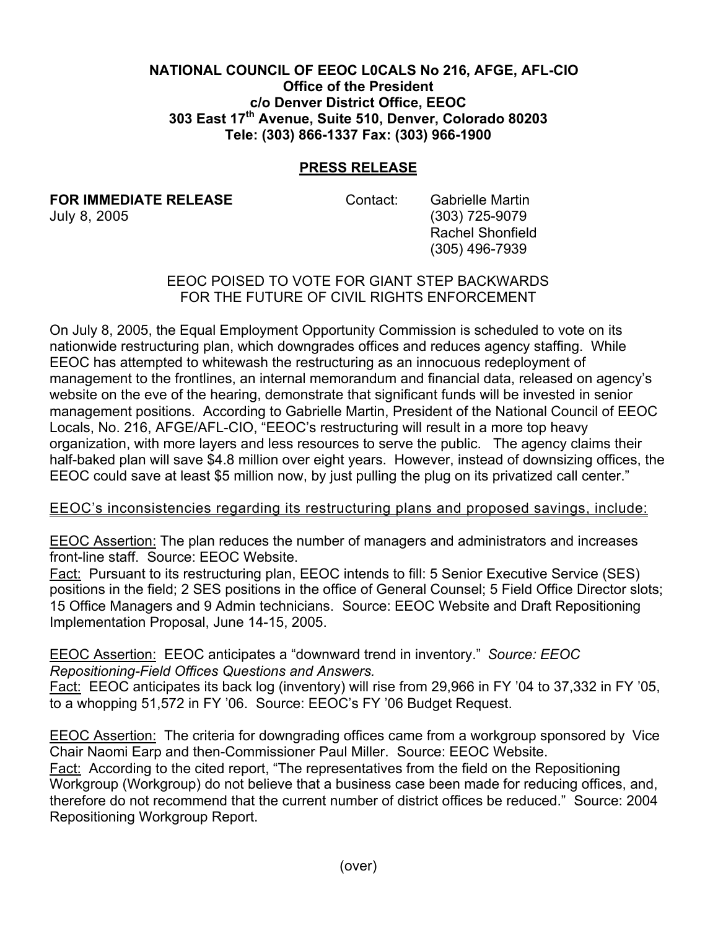## **NATIONAL COUNCIL OF EEOC L0CALS No 216, AFGE, AFL-CIO Office of the President c/o Denver District Office, EEOC 303 East 17th Avenue, Suite 510, Denver, Colorado 80203 Tele: (303) 866-1337 Fax: (303) 966-1900**

## **PRESS RELEASE**

**FOR IMMEDIATE RELEASE Contact:** Gabrielle Martin

July 8, 2005 (303) 725-9079 Rachel Shonfield (305) 496-7939

## EEOC POISED TO VOTE FOR GIANT STEP BACKWARDS FOR THE FUTURE OF CIVIL RIGHTS ENFORCEMENT

On July 8, 2005, the Equal Employment Opportunity Commission is scheduled to vote on its nationwide restructuring plan, which downgrades offices and reduces agency staffing. While EEOC has attempted to whitewash the restructuring as an innocuous redeployment of management to the frontlines, an internal memorandum and financial data, released on agency's website on the eve of the hearing, demonstrate that significant funds will be invested in senior management positions. According to Gabrielle Martin, President of the National Council of EEOC Locals, No. 216, AFGE/AFL-CIO, "EEOC's restructuring will result in a more top heavy organization, with more layers and less resources to serve the public. The agency claims their half-baked plan will save \$4.8 million over eight years. However, instead of downsizing offices, the EEOC could save at least \$5 million now, by just pulling the plug on its privatized call center."

## EEOC's inconsistencies regarding its restructuring plans and proposed savings, include:

EEOC Assertion: The plan reduces the number of managers and administrators and increases front-line staff. Source: EEOC Website.

Fact: Pursuant to its restructuring plan, EEOC intends to fill: 5 Senior Executive Service (SES) positions in the field; 2 SES positions in the office of General Counsel; 5 Field Office Director slots; 15 Office Managers and 9 Admin technicians. Source: EEOC Website and Draft Repositioning Implementation Proposal, June 14-15, 2005.

EEOC Assertion: EEOC anticipates a "downward trend in inventory." *Source: EEOC Repositioning-Field Offices Questions and Answers.*

Fact: EEOC anticipates its back log (inventory) will rise from 29,966 in FY '04 to 37,332 in FY '05, to a whopping 51,572 in FY '06. Source: EEOC's FY '06 Budget Request.

EEOC Assertion: The criteria for downgrading offices came from a workgroup sponsored by Vice Chair Naomi Earp and then-Commissioner Paul Miller. Source: EEOC Website. Fact: According to the cited report, "The representatives from the field on the Repositioning Workgroup (Workgroup) do not believe that a business case been made for reducing offices, and, therefore do not recommend that the current number of district offices be reduced." Source: 2004 Repositioning Workgroup Report.